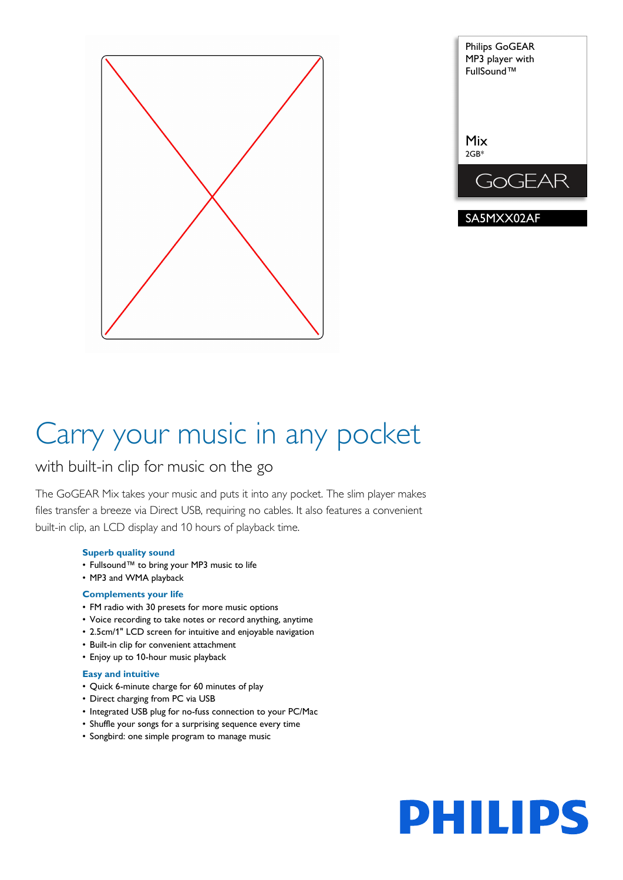



# Carry your music in any pocket

## with built-in clip for music on the go

The GoGEAR Mix takes your music and puts it into any pocket. The slim player makes files transfer a breeze via Direct USB, requiring no cables. It also features a convenient built-in clip, an LCD display and 10 hours of playback time.

## **Superb quality sound**

- Fullsound™ to bring your MP3 music to life
- MP3 and WMA playback

## **Complements your life**

- FM radio with 30 presets for more music options
- Voice recording to take notes or record anything, anytime
- 2.5cm/1" LCD screen for intuitive and enjoyable navigation
- Built-in clip for convenient attachment
- Enjoy up to 10-hour music playback

## **Easy and intuitive**

- Quick 6-minute charge for 60 minutes of play
- Direct charging from PC via USB
- Integrated USB plug for no-fuss connection to your PC/Mac
- Shuffle your songs for a surprising sequence every time
- Songbird: one simple program to manage music

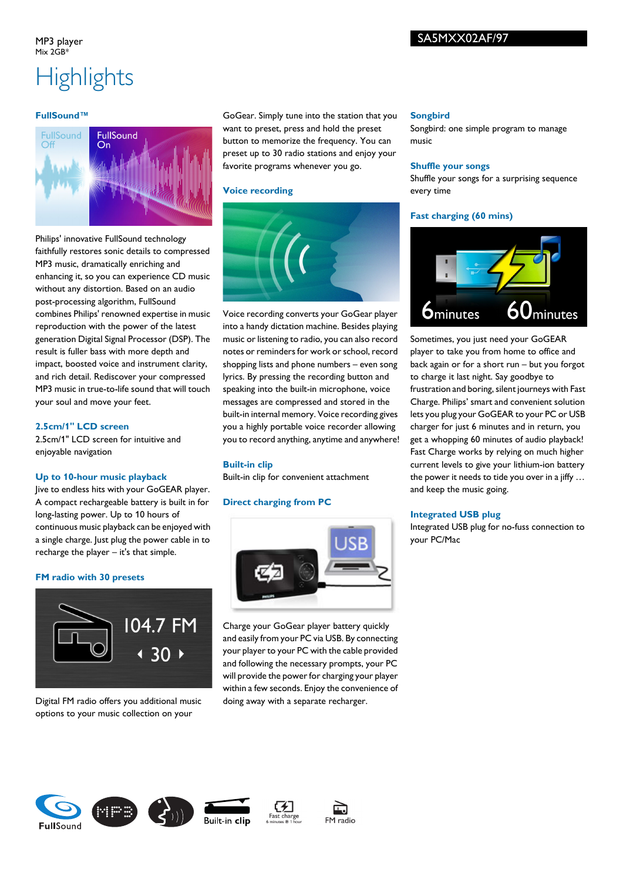#### MP3 player  $Mix 2GR*$

## SA5MXX02AF/97

## **Highlights**

## **FullSound™**



Philips' innovative FullSound technology faithfully restores sonic details to compressed MP3 music, dramatically enriching and enhancing it, so you can experience CD music without any distortion. Based on an audio post-processing algorithm, FullSound combines Philips' renowned expertise in music reproduction with the power of the latest generation Digital Signal Processor (DSP). The result is fuller bass with more depth and impact, boosted voice and instrument clarity, and rich detail. Rediscover your compressed MP3 music in true-to-life sound that will touch your soul and move your feet.

## **2.5cm/1" LCD screen**

2.5cm/1" LCD screen for intuitive and enjoyable navigation

## **Up to 10-hour music playback**

Jive to endless hits with your GoGEAR player. A compact rechargeable battery is built in for long-lasting power. Up to 10 hours of continuous music playback can be enjoyed with a single charge. Just plug the power cable in to recharge the player – it's that simple.

## **FM radio with 30 presets**



Digital FM radio offers you additional music options to your music collection on your

GoGear. Simply tune into the station that you want to preset, press and hold the preset button to memorize the frequency. You can preset up to 30 radio stations and enjoy your favorite programs whenever you go.

### **Voice recording**



Voice recording converts your GoGear player into a handy dictation machine. Besides playing music or listening to radio, you can also record notes or reminders for work or school, record shopping lists and phone numbers – even song lyrics. By pressing the recording button and speaking into the built-in microphone, voice messages are compressed and stored in the built-in internal memory. Voice recording gives you a highly portable voice recorder allowing you to record anything, anytime and anywhere!

## **Built-in clip**

Built-in clip for convenient attachment

## **Direct charging from PC**



Charge your GoGear player battery quickly and easily from your PC via USB. By connecting your player to your PC with the cable provided and following the necessary prompts, your PC will provide the power for charging your player within a few seconds. Enjoy the convenience of doing away with a separate recharger.

#### **Songbird**

Songbird: one simple program to manage music

#### **Shuffle your songs**

Shuffle your songs for a surprising sequence every time

## **Fast charging (60 mins)**



Sometimes, you just need your GoGEAR player to take you from home to office and back again or for a short run – but you forgot to charge it last night. Say goodbye to frustration and boring, silent journeys with Fast Charge. Philips' smart and convenient solution lets you plug your GoGEAR to your PC or USB charger for just 6 minutes and in return, you get a whopping 60 minutes of audio playback! Fast Charge works by relying on much higher current levels to give your lithium-ion battery the power it needs to tide you over in a jiffy … and keep the music going.

## **Integrated USB plug**

Integrated USB plug for no-fuss connection to your PC/Mac